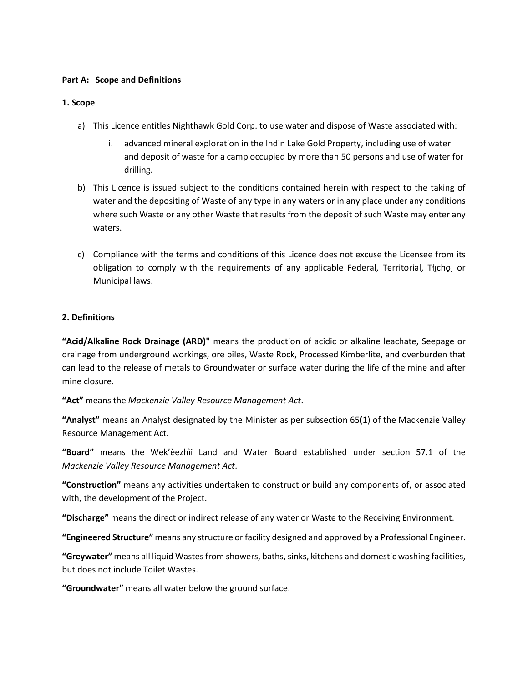#### **Part A: Scope and Definitions**

#### **1. Scope**

- a) This Licence entitles Nighthawk Gold Corp. to use water and dispose of Waste associated with:
	- i. advanced mineral exploration in the Indin Lake Gold Property, including use of water and deposit of waste for a camp occupied by more than 50 persons and use of water for drilling.
- b) This Licence is issued subject to the conditions contained herein with respect to the taking of water and the depositing of Waste of any type in any waters or in any place under any conditions where such Waste or any other Waste that results from the deposit of such Waste may enter any waters.
- c) Compliance with the terms and conditions of this Licence does not excuse the Licensee from its obligation to comply with the requirements of any applicable Federal, Territorial, Tłycho, or Municipal laws.

# **2. Definitions**

**"Acid/Alkaline Rock Drainage (ARD)"** means the production of acidic or alkaline leachate, Seepage or drainage from underground workings, ore piles, Waste Rock, Processed Kimberlite, and overburden that can lead to the release of metals to Groundwater or surface water during the life of the mine and after mine closure.

**"Act"** means the *Mackenzie Valley Resource Management Act*.

**"Analyst"** means an Analyst designated by the Minister as per subsection 65(1) of the Mackenzie Valley Resource Management Act.

**"Board"** means the Wek'èezhìi Land and Water Board established under section 57.1 of the *Mackenzie Valley Resource Management Act*.

**"Construction"** means any activities undertaken to construct or build any components of, or associated with, the development of the Project.

**"Discharge"** means the direct or indirect release of any water or Waste to the Receiving Environment.

**"Engineered Structure"** means any structure or facility designed and approved by a Professional Engineer.

**"Greywater"** means all liquid Wastes from showers, baths, sinks, kitchens and domestic washing facilities, but does not include Toilet Wastes.

**"Groundwater"** means all water below the ground surface.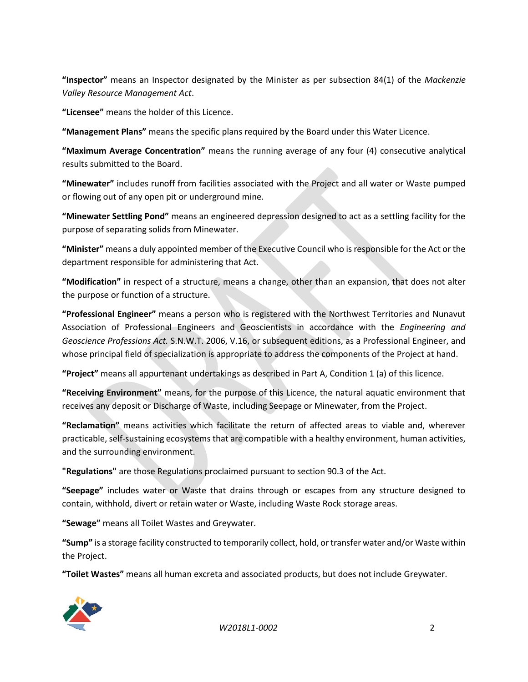**"Inspector"** means an Inspector designated by the Minister as per subsection 84(1) of the *Mackenzie Valley Resource Management Act*.

**"Licensee"** means the holder of this Licence.

**"Management Plans"** means the specific plans required by the Board under this Water Licence.

**"Maximum Average Concentration"** means the running average of any four (4) consecutive analytical results submitted to the Board.

**"Minewater"** includes runoff from facilities associated with the Project and all water or Waste pumped or flowing out of any open pit or underground mine.

**"Minewater Settling Pond"** means an engineered depression designed to act as a settling facility for the purpose of separating solids from Minewater.

**"Minister"** means a duly appointed member of the Executive Council who is responsible for the Act or the department responsible for administering that Act.

**"Modification"** in respect of a structure, means a change, other than an expansion, that does not alter the purpose or function of a structure.

**"Professional Engineer"** means a person who is registered with the Northwest Territories and Nunavut Association of Professional Engineers and Geoscientists in accordance with the *Engineering and Geoscience Professions Act.* S.N.W.T. 2006, V.16, or subsequent editions, as a Professional Engineer, and whose principal field of specialization is appropriate to address the components of the Project at hand.

**"Project"** means all appurtenant undertakings as described in Part A, Condition 1 (a) of this licence.

**"Receiving Environment"** means, for the purpose of this Licence, the natural aquatic environment that receives any deposit or Discharge of Waste, including Seepage or Minewater, from the Project.

**"Reclamation"** means activities which facilitate the return of affected areas to viable and, wherever practicable, self-sustaining ecosystems that are compatible with a healthy environment, human activities, and the surrounding environment.

**"Regulations"** are those Regulations proclaimed pursuant to section 90.3 of the Act.

**"Seepage"** includes water or Waste that drains through or escapes from any structure designed to contain, withhold, divert or retain water or Waste, including Waste Rock storage areas.

**"Sewage"** means all Toilet Wastes and Greywater.

**"Sump"** is a storage facility constructed to temporarily collect, hold, or transfer water and/or Waste within the Project.

**"Toilet Wastes"** means all human excreta and associated products, but does not include Greywater.



*W2018L1-0002* 2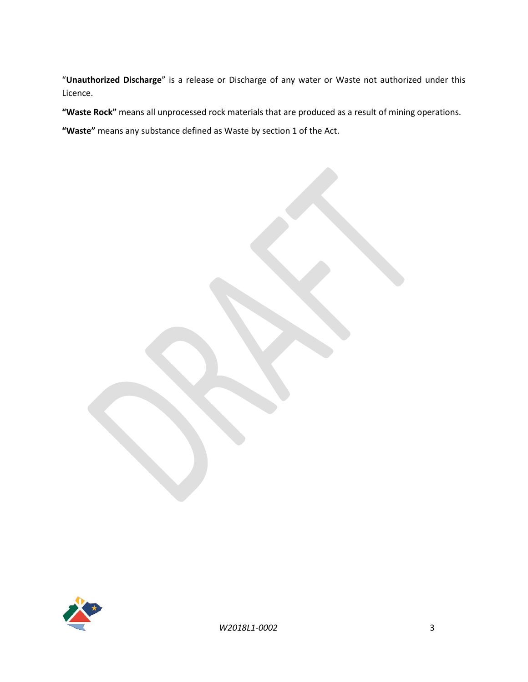"**Unauthorized Discharge**" is a release or Discharge of any water or Waste not authorized under this Licence.

**"Waste Rock"** means all unprocessed rock materials that are produced as a result of mining operations.

**"Waste"** means any substance defined as Waste by section 1 of the Act.

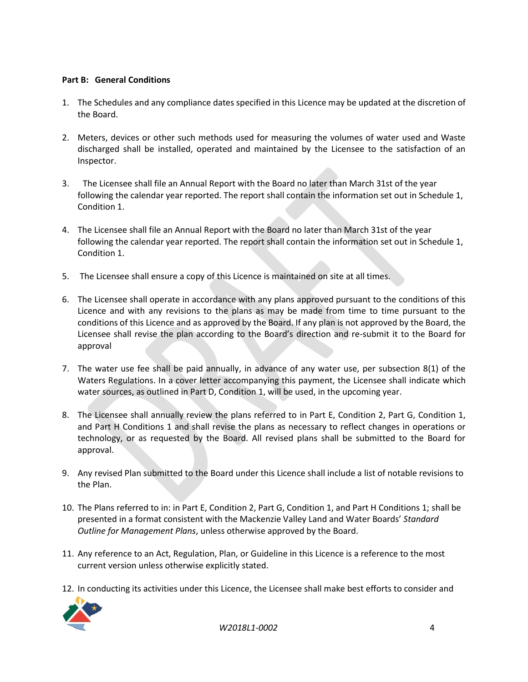# **Part B: General Conditions**

- 1. The Schedules and any compliance dates specified in this Licence may be updated at the discretion of the Board.
- 2. Meters, devices or other such methods used for measuring the volumes of water used and Waste discharged shall be installed, operated and maintained by the Licensee to the satisfaction of an Inspector.
- 3. The Licensee shall file an Annual Report with the Board no later than March 31st of the year following the calendar year reported. The report shall contain the information set out in Schedule 1, Condition 1.
- 4. The Licensee shall file an Annual Report with the Board no later than March 31st of the year following the calendar year reported. The report shall contain the information set out in Schedule 1, Condition 1.
- 5. The Licensee shall ensure a copy of this Licence is maintained on site at all times.
- 6. The Licensee shall operate in accordance with any plans approved pursuant to the conditions of this Licence and with any revisions to the plans as may be made from time to time pursuant to the conditions of this Licence and as approved by the Board. If any plan is not approved by the Board, the Licensee shall revise the plan according to the Board's direction and re-submit it to the Board for approval
- 7. The water use fee shall be paid annually, in advance of any water use, per subsection 8(1) of the Waters Regulations. In a cover letter accompanying this payment, the Licensee shall indicate which water sources, as outlined in Part D, Condition 1, will be used, in the upcoming year.
- 8. The Licensee shall annually review the plans referred to in Part E, Condition 2, Part G, Condition 1, and Part H Conditions 1 and shall revise the plans as necessary to reflect changes in operations or technology, or as requested by the Board. All revised plans shall be submitted to the Board for approval.
- 9. Any revised Plan submitted to the Board under this Licence shall include a list of notable revisions to the Plan.
- 10. The Plans referred to in: in Part E, Condition 2, Part G, Condition 1, and Part H Conditions 1; shall be presented in a format consistent with the Mackenzie Valley Land and Water Boards' *Standard Outline for Management Plans*, unless otherwise approved by the Board.
- 11. Any reference to an Act, Regulation, Plan, or Guideline in this Licence is a reference to the most current version unless otherwise explicitly stated.
- 12. In conducting its activities under this Licence, the Licensee shall make best efforts to consider and



*W2018L1-0002* 4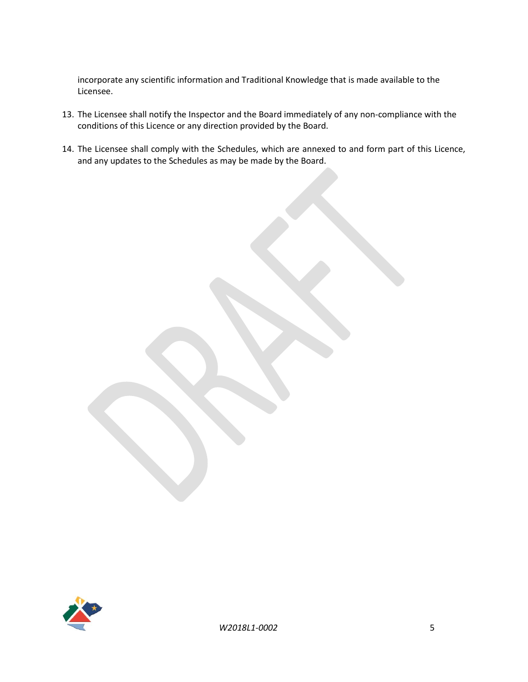incorporate any scientific information and Traditional Knowledge that is made available to the Licensee.

- 13. The Licensee shall notify the Inspector and the Board immediately of any non-compliance with the conditions of this Licence or any direction provided by the Board.
- 14. The Licensee shall comply with the Schedules, which are annexed to and form part of this Licence, and any updates to the Schedules as may be made by the Board.

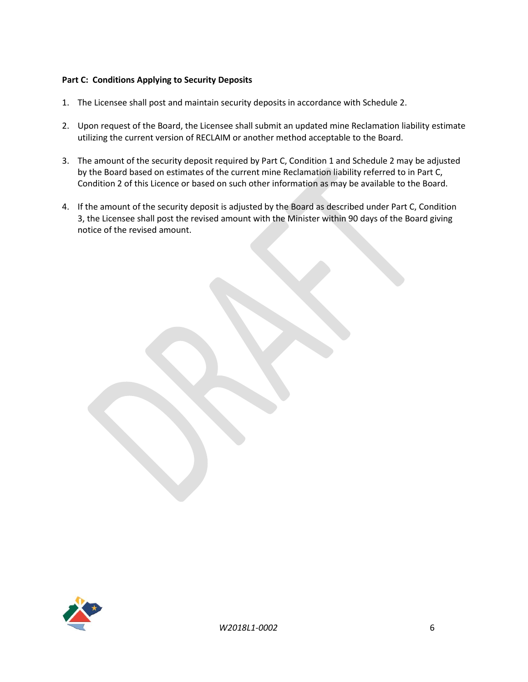# **Part C: Conditions Applying to Security Deposits**

- 1. The Licensee shall post and maintain security deposits in accordance with Schedule 2.
- 2. Upon request of the Board, the Licensee shall submit an updated mine Reclamation liability estimate utilizing the current version of RECLAIM or another method acceptable to the Board.
- 3. The amount of the security deposit required by Part C, Condition 1 and Schedule 2 may be adjusted by the Board based on estimates of the current mine Reclamation liability referred to in Part C, Condition 2 of this Licence or based on such other information as may be available to the Board.
- 4. If the amount of the security deposit is adjusted by the Board as described under Part C, Condition 3, the Licensee shall post the revised amount with the Minister within 90 days of the Board giving notice of the revised amount.

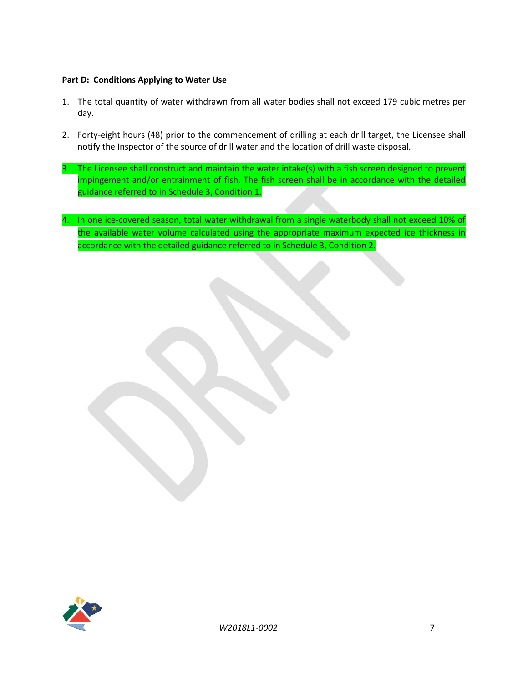# **Part D: Conditions Applying to Water Use**

- 1. The total quantity of water withdrawn from all water bodies shall not exceed 179 cubic metres per day.
- 2. Forty-eight hours (48) prior to the commencement of drilling at each drill target, the Licensee shall notify the Inspector of the source of drill water and the location of drill waste disposal.
- 3. The Licensee shall construct and maintain the water intake(s) with a fish screen designed to prevent impingement and/or entrainment of fish. The fish screen shall be in accordance with the detailed guidance referred to in Schedule 3, Condition 1.
- 4. In one ice-covered season, total water withdrawal from a single waterbody shall not exceed 10% of the available water volume calculated using the appropriate maximum expected ice thickness in accordance with the detailed guidance referred to in Schedule 3, Condition 2.

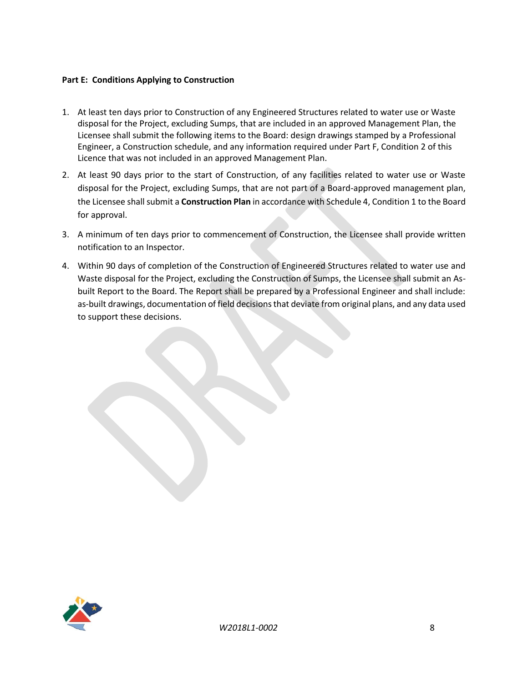### **Part E: Conditions Applying to Construction**

- 1. At least ten days prior to Construction of any Engineered Structures related to water use or Waste disposal for the Project, excluding Sumps, that are included in an approved Management Plan, the Licensee shall submit the following items to the Board: design drawings stamped by a Professional Engineer, a Construction schedule, and any information required under Part F, Condition 2 of this Licence that was not included in an approved Management Plan.
- 2. At least 90 days prior to the start of Construction, of any facilities related to water use or Waste disposal for the Project, excluding Sumps, that are not part of a Board-approved management plan, the Licensee shall submit a **Construction Plan** in accordance with Schedule 4, Condition 1 to the Board for approval.
- 3. A minimum of ten days prior to commencement of Construction, the Licensee shall provide written notification to an Inspector.
- 4. Within 90 days of completion of the Construction of Engineered Structures related to water use and Waste disposal for the Project, excluding the Construction of Sumps, the Licensee shall submit an Asbuilt Report to the Board. The Report shall be prepared by a Professional Engineer and shall include: as-built drawings, documentation of field decisions that deviate from original plans, and any data used to support these decisions.

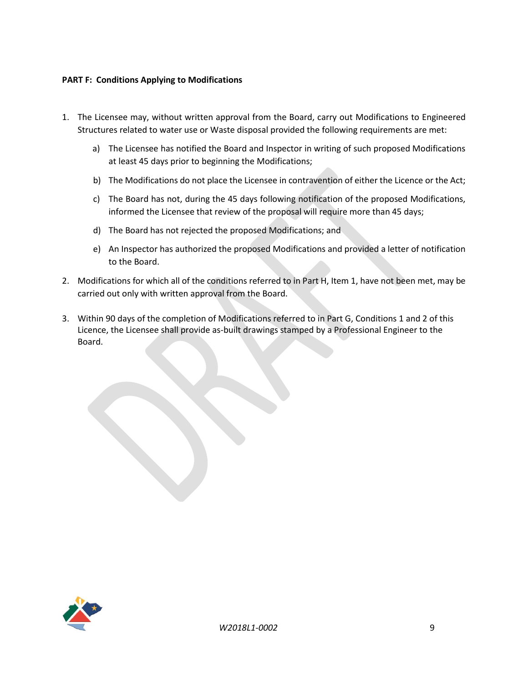### **PART F: Conditions Applying to Modifications**

- 1. The Licensee may, without written approval from the Board, carry out Modifications to Engineered Structures related to water use or Waste disposal provided the following requirements are met:
	- a) The Licensee has notified the Board and Inspector in writing of such proposed Modifications at least 45 days prior to beginning the Modifications;
	- b) The Modifications do not place the Licensee in contravention of either the Licence or the Act;
	- c) The Board has not, during the 45 days following notification of the proposed Modifications, informed the Licensee that review of the proposal will require more than 45 days;
	- d) The Board has not rejected the proposed Modifications; and
	- e) An Inspector has authorized the proposed Modifications and provided a letter of notification to the Board.
- 2. Modifications for which all of the conditions referred to in Part H, Item 1, have not been met, may be carried out only with written approval from the Board.
- 3. Within 90 days of the completion of Modifications referred to in Part G, Conditions 1 and 2 of this Licence, the Licensee shall provide as-built drawings stamped by a Professional Engineer to the Board.

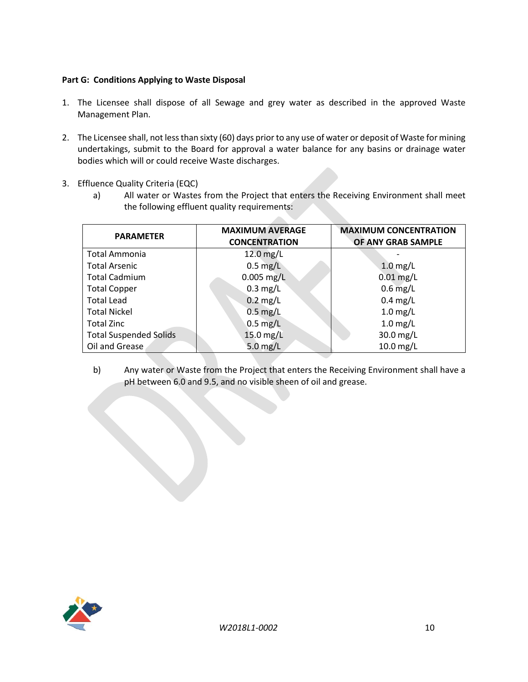# **Part G: Conditions Applying to Waste Disposal**

- 1. The Licensee shall dispose of all Sewage and grey water as described in the approved Waste Management Plan.
- 2. The Licensee shall, not less than sixty (60) days prior to any use of water or deposit of Waste for mining undertakings, submit to the Board for approval a water balance for any basins or drainage water bodies which will or could receive Waste discharges.
- 3. Effluence Quality Criteria (EQC)
	- a) All water or Wastes from the Project that enters the Receiving Environment shall meet the following effluent quality requirements:

**College** 

| <b>PARAMETER</b>              | <b>MAXIMUM AVERAGE</b><br><b>CONCENTRATION</b> | <b>MAXIMUM CONCENTRATION</b><br>OF ANY GRAB SAMPLE |
|-------------------------------|------------------------------------------------|----------------------------------------------------|
| Total Ammonia                 | $12.0$ mg/L                                    |                                                    |
| <b>Total Arsenic</b>          | $0.5$ mg/L                                     | $1.0$ mg/L                                         |
| <b>Total Cadmium</b>          | $0.005$ mg/L                                   | $0.01$ mg/L                                        |
| <b>Total Copper</b>           | $0.3$ mg/L                                     | $0.6$ mg/L                                         |
| <b>Total Lead</b>             | $0.2$ mg/L                                     | $0.4$ mg/L                                         |
| <b>Total Nickel</b>           | $0.5$ mg/L                                     | $1.0$ mg/L                                         |
| <b>Total Zinc</b>             | $0.5$ mg/L                                     | $1.0$ mg/L                                         |
| <b>Total Suspended Solids</b> | $15.0$ mg/L                                    | 30.0 mg/L                                          |
| Oil and Grease                | 5.0 $mg/L$                                     | $10.0$ mg/L                                        |

b) Any water or Waste from the Project that enters the Receiving Environment shall have a pH between 6.0 and 9.5, and no visible sheen of oil and grease.

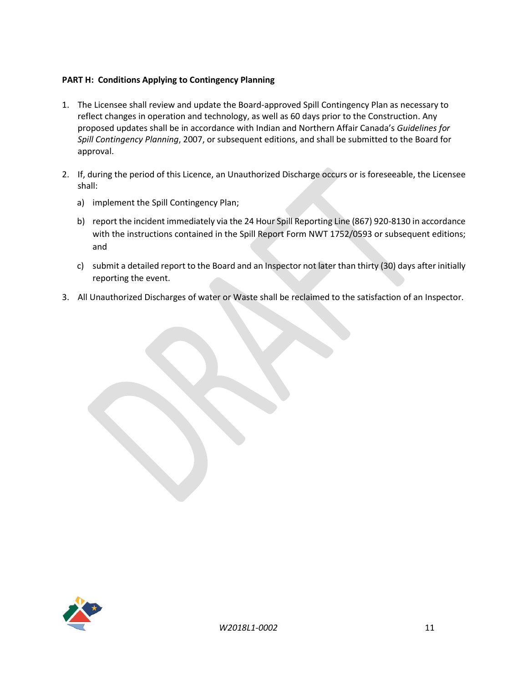# **PART H: Conditions Applying to Contingency Planning**

- 1. The Licensee shall review and update the Board-approved Spill Contingency Plan as necessary to reflect changes in operation and technology, as well as 60 days prior to the Construction. Any proposed updates shall be in accordance with Indian and Northern Affair Canada's *Guidelines for Spill Contingency Planning*, 2007, or subsequent editions, and shall be submitted to the Board for approval.
- 2. If, during the period of this Licence, an Unauthorized Discharge occurs or is foreseeable, the Licensee shall:
	- a) implement the Spill Contingency Plan;
	- b) report the incident immediately via the 24 Hour Spill Reporting Line (867) 920-8130 in accordance with the instructions contained in the Spill Report Form NWT 1752/0593 or subsequent editions; and
	- c) submit a detailed report to the Board and an Inspector not later than thirty (30) days after initially reporting the event.
- 3. All Unauthorized Discharges of water or Waste shall be reclaimed to the satisfaction of an Inspector.

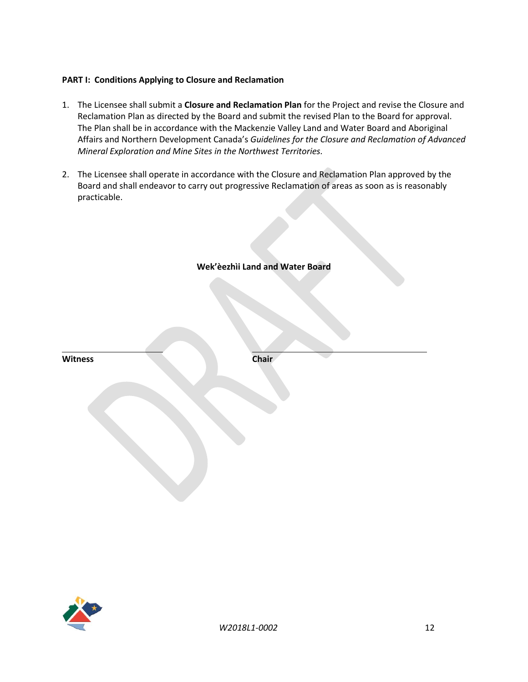### **PART I: Conditions Applying to Closure and Reclamation**

- 1. The Licensee shall submit a **Closure and Reclamation Plan** for the Project and revise the Closure and Reclamation Plan as directed by the Board and submit the revised Plan to the Board for approval. The Plan shall be in accordance with the Mackenzie Valley Land and Water Board and Aboriginal Affairs and Northern Development Canada's *Guidelines for the Closure and Reclamation of Advanced Mineral Exploration and Mine Sites in the Northwest Territories.*
- 2. The Licensee shall operate in accordance with the Closure and Reclamation Plan approved by the Board and shall endeavor to carry out progressive Reclamation of areas as soon as is reasonably practicable.

|                | Wek'èezhìi Land and Water Board |  |
|----------------|---------------------------------|--|
|                |                                 |  |
|                |                                 |  |
|                |                                 |  |
|                |                                 |  |
|                |                                 |  |
| <b>Witness</b> | Chair                           |  |
|                |                                 |  |
|                |                                 |  |
|                |                                 |  |
|                |                                 |  |
|                |                                 |  |
|                |                                 |  |
|                |                                 |  |

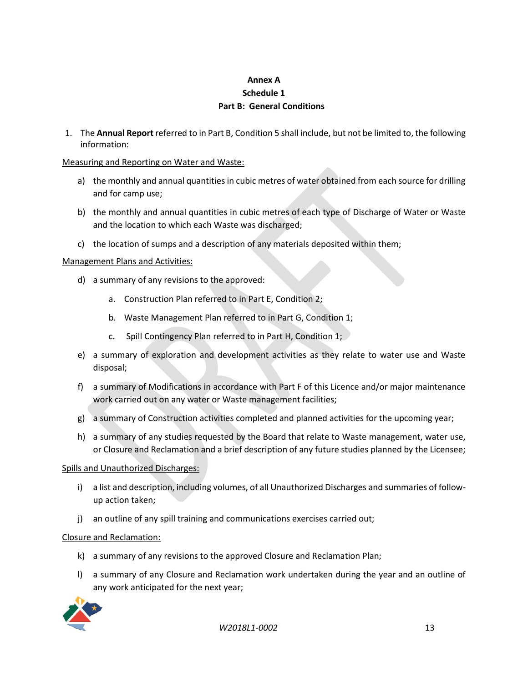# **Annex A Schedule 1 Part B: General Conditions**

1. The **Annual Report** referred to in Part B, Condition 5 shall include, but not be limited to, the following information:

### Measuring and Reporting on Water and Waste:

- a) the monthly and annual quantities in cubic metres of water obtained from each source for drilling and for camp use;
- b) the monthly and annual quantities in cubic metres of each type of Discharge of Water or Waste and the location to which each Waste was discharged;
- c) the location of sumps and a description of any materials deposited within them;

#### Management Plans and Activities:

- d) a summary of any revisions to the approved:
	- a. Construction Plan referred to in Part E, Condition 2;
	- b. Waste Management Plan referred to in Part G, Condition 1;
	- c. Spill Contingency Plan referred to in Part H, Condition 1;
- e) a summary of exploration and development activities as they relate to water use and Waste disposal;
- f) a summary of Modifications in accordance with Part F of this Licence and/or major maintenance work carried out on any water or Waste management facilities;
- g) a summary of Construction activities completed and planned activities for the upcoming year;
- h) a summary of any studies requested by the Board that relate to Waste management, water use, or Closure and Reclamation and a brief description of any future studies planned by the Licensee;

#### Spills and Unauthorized Discharges:

- i) a list and description, including volumes, of all Unauthorized Discharges and summaries of followup action taken;
- j) an outline of any spill training and communications exercises carried out;

# Closure and Reclamation:

- k) a summary of any revisions to the approved Closure and Reclamation Plan;
- l) a summary of any Closure and Reclamation work undertaken during the year and an outline of any work anticipated for the next year;



*W2018L1-0002* 13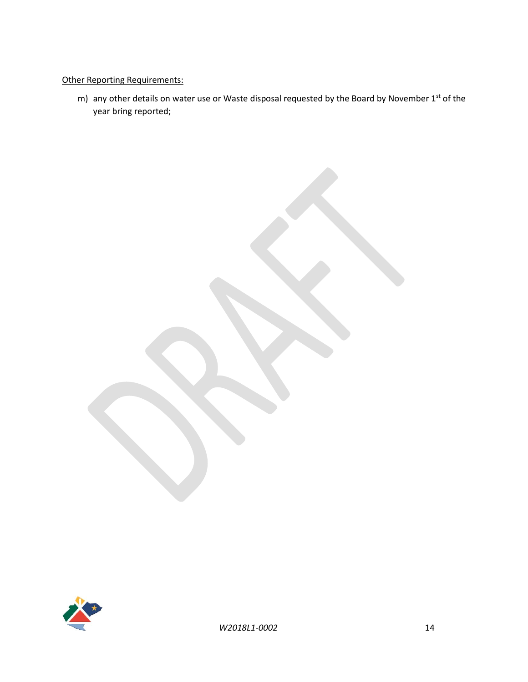# Other Reporting Requirements:

m) any other details on water use or Waste disposal requested by the Board by November  $1<sup>st</sup>$  of the year bring reported;

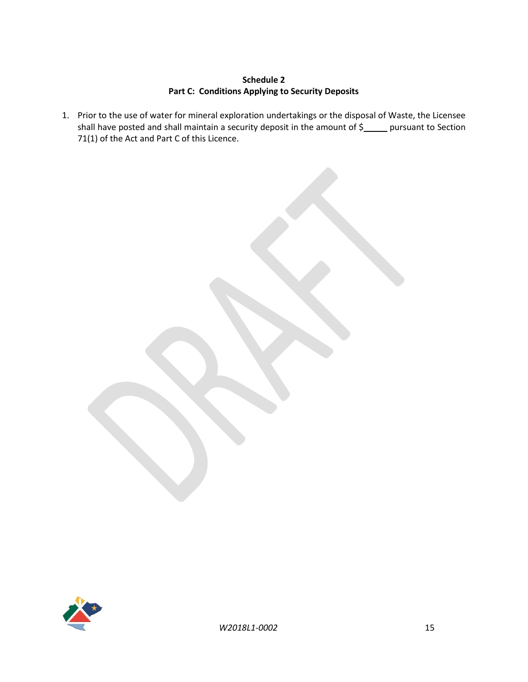# **Schedule 2 Part C: Conditions Applying to Security Deposits**

1. Prior to the use of water for mineral exploration undertakings or the disposal of Waste, the Licensee shall have posted and shall maintain a security deposit in the amount of \$\_\_\_\_ pursuant to Section 71(1) of the Act and Part C of this Licence.

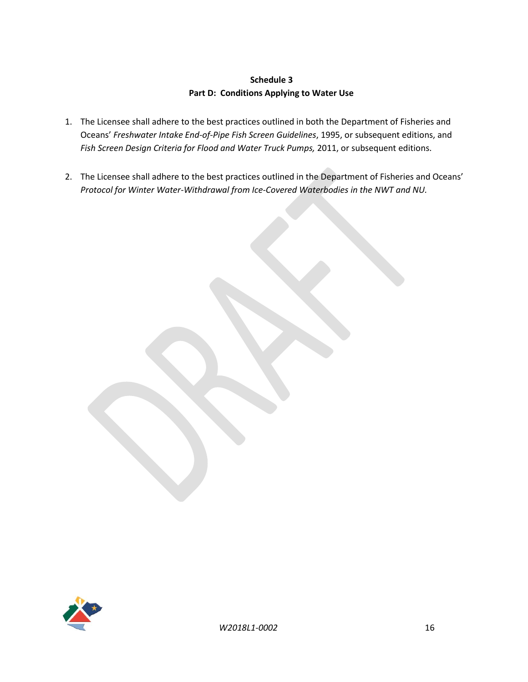# **Schedule 3 Part D: Conditions Applying to Water Use**

- 1. The Licensee shall adhere to the best practices outlined in both the Department of Fisheries and Oceans' *Freshwater Intake End-of-Pipe Fish Screen Guidelines*, 1995, or subsequent editions, and *Fish Screen Design Criteria for Flood and Water Truck Pumps,* 2011, or subsequent editions.
- 2. The Licensee shall adhere to the best practices outlined in the Department of Fisheries and Oceans' *Protocol for Winter Water-Withdrawal from Ice-Covered Waterbodies in the NWT and NU.*